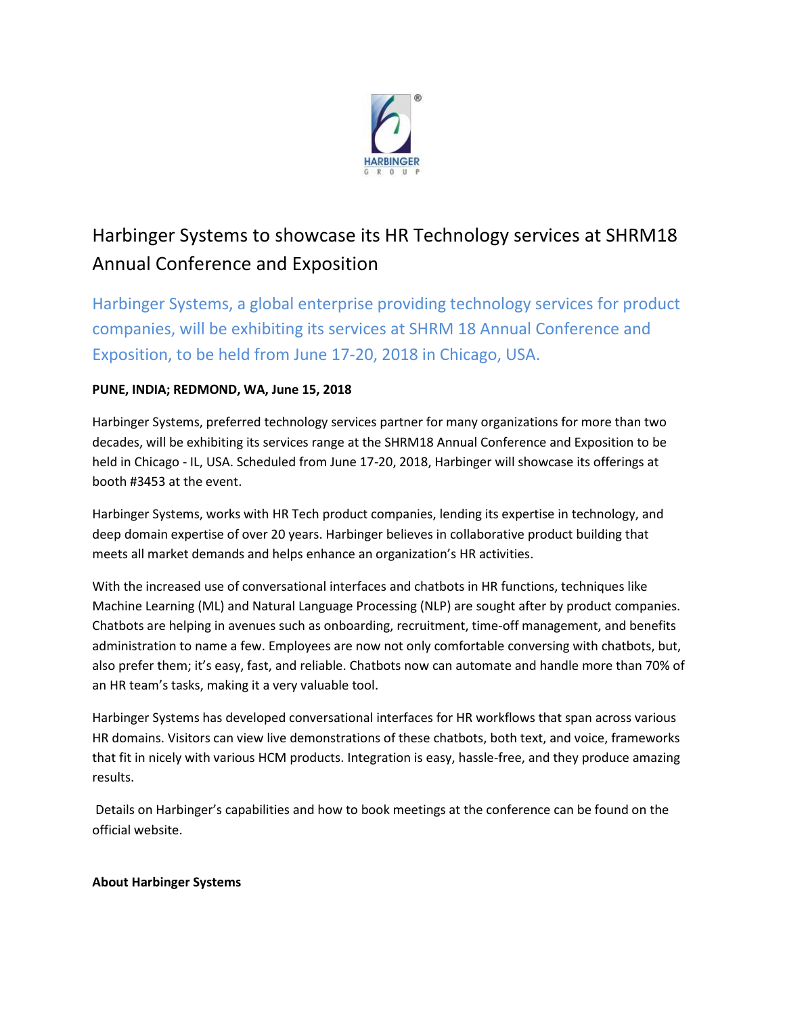

# Harbinger Systems to showcase its HR Technology services at SHRM18 Annual Conference and Exposition

Harbinger Systems, a global enterprise providing technology services for product companies, will be exhibiting its services at SHRM 18 Annual Conference and Exposition, to be held from June 17-20, 2018 in Chicago, USA.

# **PUNE, INDIA; REDMOND, WA, June 15, 2018**

Harbinger Systems, preferred technology services partner for many organizations for more than two decades, will be exhibiting its services range at the SHRM18 Annual Conference and Exposition to be held in Chicago - IL, USA. Scheduled from June 17-20, 2018, Harbinger will showcase its offerings at booth #3453 at the event.

Harbinger Systems, works with HR Tech product companies, lending its expertise in technology, and deep domain expertise of over 20 years. Harbinger believes in collaborative product building that meets all market demands and helps enhance an organization's HR activities.

With the increased use of conversational interfaces and chatbots in HR functions, techniques like Machine Learning (ML) and Natural Language Processing (NLP) are sought after by product companies. Chatbots are helping in avenues such as onboarding, recruitment, time-off management, and benefits administration to name a few. Employees are now not only comfortable conversing with chatbots, but, also prefer them; it's easy, fast, and reliable. Chatbots now can automate and handle more than 70% of an HR team's tasks, making it a very valuable tool.

Harbinger Systems has developed conversational interfaces for HR workflows that span across various HR domains. Visitors can view live demonstrations of these chatbots, both text, and voice, frameworks that fit in nicely with various HCM products. Integration is easy, hassle-free, and they produce amazing results.

Details on Harbinger's capabilities and how to book meetings at the conference can be found on the official [website.](http://www.harbinger-systems.com/)

# **About Harbinger Systems**